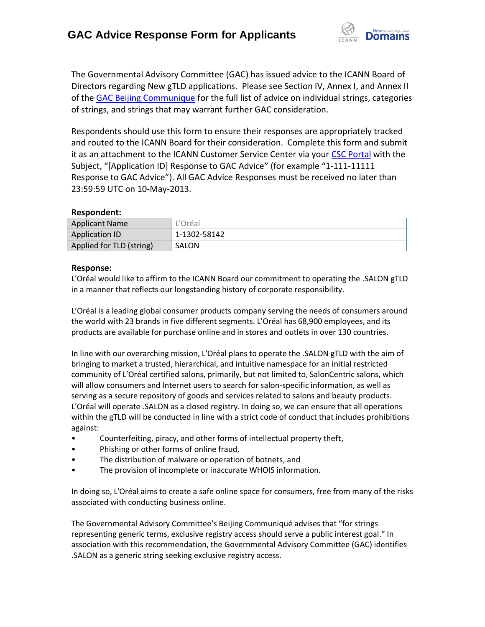

The Governmental Advisory Committee (GAC) has issued advice to the ICANN Board of Directors regarding New gTLD applications. Please see Section IV, Annex I, and Annex II of the [GAC Beijing Communique](http://www.icann.org/en/news/correspondence/gac-to-board-18apr13-en.pdf) for the full list of advice on individual strings, categories of strings, and strings that may warrant further GAC consideration.

Respondents should use this form to ensure their responses are appropriately tracked and routed to the ICANN Board for their consideration. Complete this form and submit it as an attachment to the ICANN Customer Service Center via your CSC [Portal](https://myicann.secure.force.com/) with the Subject, "[Application ID] Response to GAC Advice" (for example "1-111-11111 Response to GAC Advice"). All GAC Advice Responses must be received no later than 23:59:59 UTC on 10-May-2013.

## **Respondent:**

| <b>Applicant Name</b>    | L'Oréal      |
|--------------------------|--------------|
| <b>Application ID</b>    | 1-1302-58142 |
| Applied for TLD (string) | SALON        |

## **Response:**

L'Oréal would like to affirm to the ICANN Board our commitment to operating the .SALON gTLD in a manner that reflects our longstanding history of corporate responsibility.

L'Oréal is a leading global consumer products company serving the needs of consumers around the world with 23 brands in five different segments. L'Oréal has 68,900 employees, and its products are available for purchase online and in stores and outlets in over 130 countries.

In line with our overarching mission, L'Oréal plans to operate the .SALON gTLD with the aim of bringing to market a trusted, hierarchical, and intuitive namespace for an initial restricted community of L'Oréal certified salons, primarily, but not limited to, SalonCentric salons, which will allow consumers and Internet users to search for salon-specific information, as well as serving as a secure repository of goods and services related to salons and beauty products. L'Oréal will operate .SALON as a closed registry. In doing so, we can ensure that all operations within the gTLD will be conducted in line with a strict code of conduct that includes prohibitions against:

- Counterfeiting, piracy, and other forms of intellectual property theft,
- Phishing or other forms of online fraud,
- The distribution of malware or operation of botnets, and
- The provision of incomplete or inaccurate WHOIS information.

In doing so, L'Oréal aims to create a safe online space for consumers, free from many of the risks associated with conducting business online.

The Governmental Advisory Committee's Beijing Communiqué advises that "for strings representing generic terms, exclusive registry access should serve a public interest goal." In association with this recommendation, the Governmental Advisory Committee (GAC) identifies .SALON as a generic string seeking exclusive registry access.